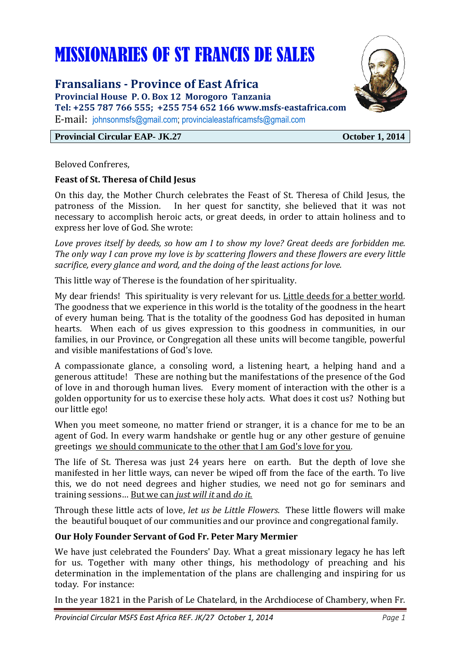# MISSIONARIES OF ST FRANCIS DE SALES

### **Fransalians - Province of East Africa**

**Provincial House P. O. Box 12 Morogoro Tanzania Tel: +255 787 766 555; +255 754 652 166 www.msfs-eastafrica.com**  E-mail: johnsonmsfs@gmail.com; provincialeastafricamsfs@gmail.com

#### **Provincial Circular EAP- JK.27 October 1, 2014**

Beloved Confreres,

#### **Feast of St. Theresa of Child Jesus**

On this day, the Mother Church celebrates the Feast of St. Theresa of Child Jesus, the patroness of the Mission. In her quest for sanctity, she believed that it was not necessary to accomplish heroic acts, or great deeds, in order to attain holiness and to express her love of God. She wrote:

*Love proves itself by deeds, so how am I to show my love? Great deeds are forbidden me. The only way I can prove my love is by scattering flowers and these flowers are every little sacrifice, every glance and word, and the doing of the least actions for love.* 

This little way of Therese is the foundation of her spirituality.

My dear friends! This spirituality is very relevant for us. Little deeds for a better world. The goodness that we experience in this world is the totality of the goodness in the heart of every human being. That is the totality of the goodness God has deposited in human hearts. When each of us gives expression to this goodness in communities, in our families, in our Province, or Congregation all these units will become tangible, powerful and visible manifestations of God's love.

A compassionate glance, a consoling word, a listening heart, a helping hand and a generous attitude! These are nothing but the manifestations of the presence of the God of love in and thorough human lives. Every moment of interaction with the other is a golden opportunity for us to exercise these holy acts. What does it cost us? Nothing but our little ego!

When you meet someone, no matter friend or stranger, it is a chance for me to be an agent of God. In every warm handshake or gentle hug or any other gesture of genuine greetings we should communicate to the other that I am God's love for you.

The life of St. Theresa was just 24 years here on earth. But the depth of love she manifested in her little ways, can never be wiped off from the face of the earth. To live this, we do not need degrees and higher studies, we need not go for seminars and training sessions… But we can *just will it* and *do it.*

Through these little acts of love, *let us be Little Flowers*. These little flowers will make the beautiful bouquet of our communities and our province and congregational family.

#### **Our Holy Founder Servant of God Fr. Peter Mary Mermier**

We have just celebrated the Founders' Day. What a great missionary legacy he has left for us. Together with many other things, his methodology of preaching and his determination in the implementation of the plans are challenging and inspiring for us today. For instance:

In the year 1821 in the Parish of Le Chatelard, in the Archdiocese of Chambery, when Fr.

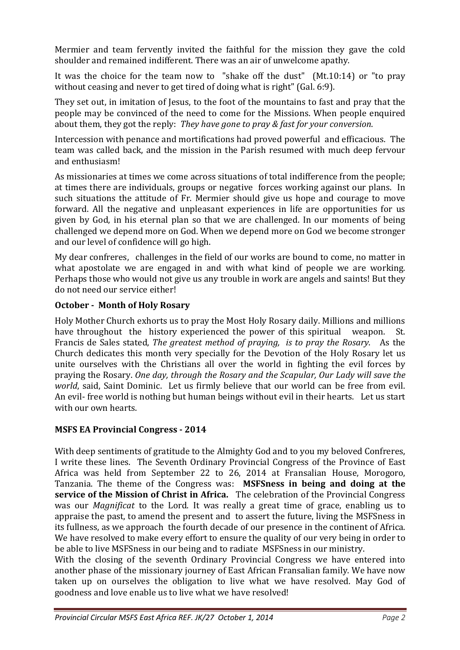Mermier and team fervently invited the faithful for the mission they gave the cold shoulder and remained indifferent. There was an air of unwelcome apathy.

It was the choice for the team now to "shake off the dust" (Mt.10:14) or "to pray without ceasing and never to get tired of doing what is right" (Gal. 6:9).

They set out, in imitation of Jesus, to the foot of the mountains to fast and pray that the people may be convinced of the need to come for the Missions. When people enquired about them, they got the reply: *They have gone to pray & fast for your conversion*.

Intercession with penance and mortifications had proved powerful and efficacious. The team was called back, and the mission in the Parish resumed with much deep fervour and enthusiasm!

As missionaries at times we come across situations of total indifference from the people; at times there are individuals, groups or negative forces working against our plans. In such situations the attitude of Fr. Mermier should give us hope and courage to move forward. All the negative and unpleasant experiences in life are opportunities for us given by God, in his eternal plan so that we are challenged. In our moments of being challenged we depend more on God. When we depend more on God we become stronger and our level of confidence will go high.

My dear confreres, challenges in the field of our works are bound to come, no matter in what apostolate we are engaged in and with what kind of people we are working. Perhaps those who would not give us any trouble in work are angels and saints! But they do not need our service either!

#### **October - Month of Holy Rosary**

Holy Mother Church exhorts us to pray the Most Holy Rosary daily. Millions and millions have throughout the history experienced the power of this spiritual weapon. St. Francis de Sales stated, *The greatest method of praying, is to pray the Rosary*. As the Church dedicates this month very specially for the Devotion of the Holy Rosary let us unite ourselves with the Christians all over the world in fighting the evil forces by praying the Rosary. *One day, through the Rosary and the Scapular, Our Lady will save the world*, said, Saint Dominic. Let us firmly believe that our world can be free from evil. An evil- free world is nothing but human beings without evil in their hearts. Let us start with our own hearts.

#### **MSFS EA Provincial Congress - 2014**

With deep sentiments of gratitude to the Almighty God and to you my beloved Confreres, I write these lines. The Seventh Ordinary Provincial Congress of the Province of East Africa was held from September 22 to 26, 2014 at Fransalian House, Morogoro, Tanzania. The theme of the Congress was: **MSFSness in being and doing at the service of the Mission of Christ in Africa.** The celebration of the Provincial Congress was our *Magnificat* to the Lord. It was really a great time of grace, enabling us to appraise the past, to amend the present and to assert the future, living the MSFSness in its fullness, as we approach the fourth decade of our presence in the continent of Africa. We have resolved to make every effort to ensure the quality of our very being in order to be able to live MSFSness in our being and to radiate MSFSness in our ministry.

With the closing of the seventh Ordinary Provincial Congress we have entered into another phase of the missionary journey of East African Fransalian family. We have now taken up on ourselves the obligation to live what we have resolved. May God of goodness and love enable us to live what we have resolved!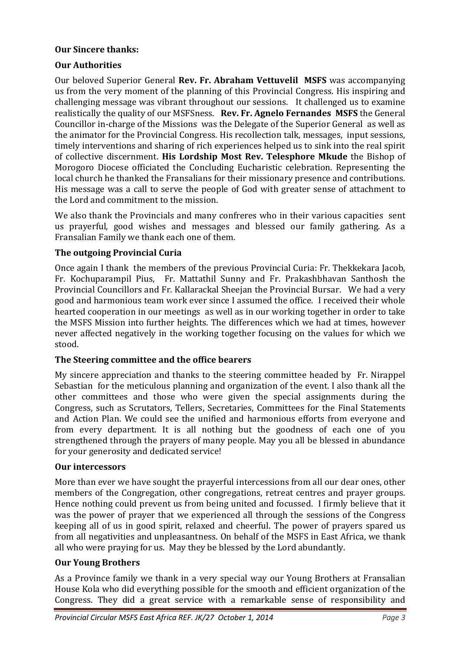#### **Our Sincere thanks:**

#### **Our Authorities**

Our beloved Superior General **Rev. Fr. Abraham Vettuvelil MSFS** was accompanying us from the very moment of the planning of this Provincial Congress. His inspiring and challenging message was vibrant throughout our sessions. It challenged us to examine realistically the quality of our MSFSness. **Rev. Fr. Agnelo Fernandes MSFS** the General Councillor in-charge of the Missions was the Delegate of the Superior General as well as the animator for the Provincial Congress. His recollection talk, messages, input sessions, timely interventions and sharing of rich experiences helped us to sink into the real spirit of collective discernment. **His Lordship Most Rev. Telesphore Mkude** the Bishop of Morogoro Diocese officiated the Concluding Eucharistic celebration. Representing the local church he thanked the Fransalians for their missionary presence and contributions. His message was a call to serve the people of God with greater sense of attachment to the Lord and commitment to the mission.

We also thank the Provincials and many confreres who in their various capacities sent us prayerful, good wishes and messages and blessed our family gathering. As a Fransalian Family we thank each one of them.

#### **The outgoing Provincial Curia**

Once again I thank the members of the previous Provincial Curia: Fr. Thekkekara Jacob, Fr. Kochuparampil Pius, Fr. Mattathil Sunny and Fr. Prakashbhavan Santhosh the Provincial Councillors and Fr. Kallarackal Sheejan the Provincial Bursar. We had a very good and harmonious team work ever since I assumed the office. I received their whole hearted cooperation in our meetings as well as in our working together in order to take the MSFS Mission into further heights. The differences which we had at times, however never affected negatively in the working together focusing on the values for which we stood.

#### **The Steering committee and the office bearers**

My sincere appreciation and thanks to the steering committee headed by Fr. Nirappel Sebastian for the meticulous planning and organization of the event. I also thank all the other committees and those who were given the special assignments during the Congress, such as Scrutators, Tellers, Secretaries, Committees for the Final Statements and Action Plan. We could see the unified and harmonious efforts from everyone and from every department. It is all nothing but the goodness of each one of you strengthened through the prayers of many people. May you all be blessed in abundance for your generosity and dedicated service!

#### **Our intercessors**

More than ever we have sought the prayerful intercessions from all our dear ones, other members of the Congregation, other congregations, retreat centres and prayer groups. Hence nothing could prevent us from being united and focussed. I firmly believe that it was the power of prayer that we experienced all through the sessions of the Congress keeping all of us in good spirit, relaxed and cheerful. The power of prayers spared us from all negativities and unpleasantness. On behalf of the MSFS in East Africa, we thank all who were praying for us. May they be blessed by the Lord abundantly.

#### **Our Young Brothers**

As a Province family we thank in a very special way our Young Brothers at Fransalian House Kola who did everything possible for the smooth and efficient organization of the Congress. They did a great service with a remarkable sense of responsibility and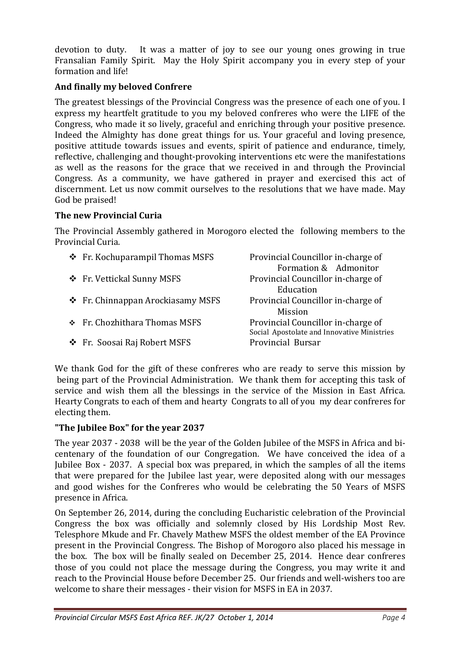devotion to duty. It was a matter of joy to see our young ones growing in true Fransalian Family Spirit. May the Holy Spirit accompany you in every step of your formation and life!

#### **And finally my beloved Confrere**

The greatest blessings of the Provincial Congress was the presence of each one of you. I express my heartfelt gratitude to you my beloved confreres who were the LIFE of the Congress, who made it so lively, graceful and enriching through your positive presence. Indeed the Almighty has done great things for us. Your graceful and loving presence, positive attitude towards issues and events, spirit of patience and endurance, timely, reflective, challenging and thought-provoking interventions etc were the manifestations as well as the reasons for the grace that we received in and through the Provincial Congress. As a community, we have gathered in prayer and exercised this act of discernment. Let us now commit ourselves to the resolutions that we have made. May God be praised!

#### **The new Provincial Curia**

The Provincial Assembly gathered in Morogoro elected the following members to the Provincial Curia.

| ❖ Fr. Kochuparampil Thomas MSFS   | Provincial Councillor in-charge of<br>Formation & Admonitor                       |
|-----------------------------------|-----------------------------------------------------------------------------------|
| ❖ Fr. Vettickal Sunny MSFS        | Provincial Councillor in-charge of<br>Education                                   |
| ❖ Fr. Chinnappan Arockiasamy MSFS | Provincial Councillor in-charge of<br>Mission                                     |
| ❖ Fr. Chozhithara Thomas MSFS     | Provincial Councillor in-charge of<br>Social Apostolate and Innovative Ministries |
| ❖ Fr. Soosai Raj Robert MSFS      | Provincial Bursar                                                                 |

We thank God for the gift of these confreres who are ready to serve this mission by being part of the Provincial Administration. We thank them for accepting this task of service and wish them all the blessings in the service of the Mission in East Africa. Hearty Congrats to each of them and hearty Congrats to all of you my dear confreres for electing them.

#### **"The Jubilee Box" for the year 2037**

The year 2037 - 2038 will be the year of the Golden Jubilee of the MSFS in Africa and bicentenary of the foundation of our Congregation. We have conceived the idea of a Jubilee Box - 2037. A special box was prepared, in which the samples of all the items that were prepared for the Jubilee last year, were deposited along with our messages and good wishes for the Confreres who would be celebrating the 50 Years of MSFS presence in Africa.

On September 26, 2014, during the concluding Eucharistic celebration of the Provincial Congress the box was officially and solemnly closed by His Lordship Most Rev. Telesphore Mkude and Fr. Chavely Mathew MSFS the oldest member of the EA Province present in the Provincial Congress. The Bishop of Morogoro also placed his message in the box. The box will be finally sealed on December 25, 2014. Hence dear confreres those of you could not place the message during the Congress, you may write it and reach to the Provincial House before December 25. Our friends and well-wishers too are welcome to share their messages - their vision for MSFS in EA in 2037.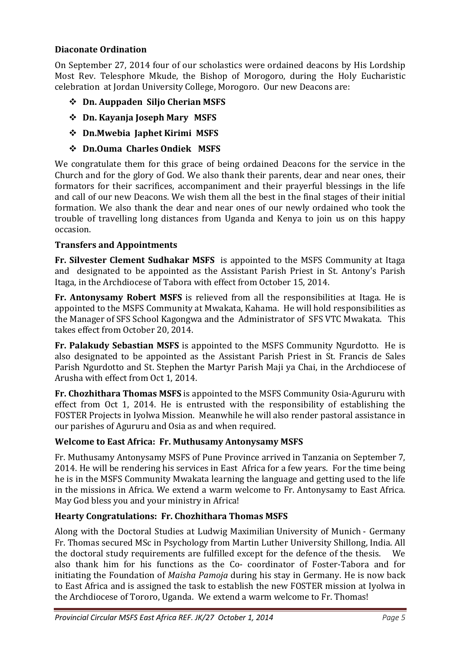#### **Diaconate Ordination**

On September 27, 2014 four of our scholastics were ordained deacons by His Lordship Most Rev. Telesphore Mkude, the Bishop of Morogoro, during the Holy Eucharistic celebration at Jordan University College, Morogoro. Our new Deacons are:

- **Dn. Auppaden Siljo Cherian MSFS**
- **Dn. Kayanja Joseph Mary MSFS**
- **Dn.Mwebia Japhet Kirimi MSFS**
- **Dn.Ouma Charles Ondiek MSFS**

We congratulate them for this grace of being ordained Deacons for the service in the Church and for the glory of God. We also thank their parents, dear and near ones, their formators for their sacrifices, accompaniment and their prayerful blessings in the life and call of our new Deacons. We wish them all the best in the final stages of their initial formation. We also thank the dear and near ones of our newly ordained who took the trouble of travelling long distances from Uganda and Kenya to join us on this happy occasion.

#### **Transfers and Appointments**

**Fr. Silvester Clement Sudhakar MSFS** is appointed to the MSFS Community at Itaga and designated to be appointed as the Assistant Parish Priest in St. Antony's Parish Itaga, in the Archdiocese of Tabora with effect from October 15, 2014.

**Fr. Antonysamy Robert MSFS** is relieved from all the responsibilities at Itaga. He is appointed to the MSFS Community at Mwakata, Kahama. He will hold responsibilities as the Manager of SFS School Kagongwa and the Administrator of SFS VTC Mwakata. This takes effect from October 20, 2014.

**Fr. Palakudy Sebastian MSFS** is appointed to the MSFS Community Ngurdotto. He is also designated to be appointed as the Assistant Parish Priest in St. Francis de Sales Parish Ngurdotto and St. Stephen the Martyr Parish Maji ya Chai, in the Archdiocese of Arusha with effect from Oct 1, 2014.

**Fr. Chozhithara Thomas MSFS** is appointed to the MSFS Community Osia-Agururu with effect from Oct 1, 2014. He is entrusted with the responsibility of establishing the FOSTER Projects in Iyolwa Mission. Meanwhile he will also render pastoral assistance in our parishes of Agururu and Osia as and when required.

#### **Welcome to East Africa: Fr. Muthusamy Antonysamy MSFS**

Fr. Muthusamy Antonysamy MSFS of Pune Province arrived in Tanzania on September 7, 2014. He will be rendering his services in East Africa for a few years. For the time being he is in the MSFS Community Mwakata learning the language and getting used to the life in the missions in Africa. We extend a warm welcome to Fr. Antonysamy to East Africa. May God bless you and your ministry in Africa!

#### **Hearty Congratulations: Fr. Chozhithara Thomas MSFS**

Along with the Doctoral Studies at Ludwig Maximilian University of Munich - Germany Fr. Thomas secured MSc in Psychology from Martin Luther University Shillong, India. All the doctoral study requirements are fulfilled except for the defence of the thesis. We also thank him for his functions as the Co- coordinator of Foster-Tabora and for initiating the Foundation of *Maisha Pamoja* during his stay in Germany. He is now back to East Africa and is assigned the task to establish the new FOSTER mission at Iyolwa in the Archdiocese of Tororo, Uganda. We extend a warm welcome to Fr. Thomas!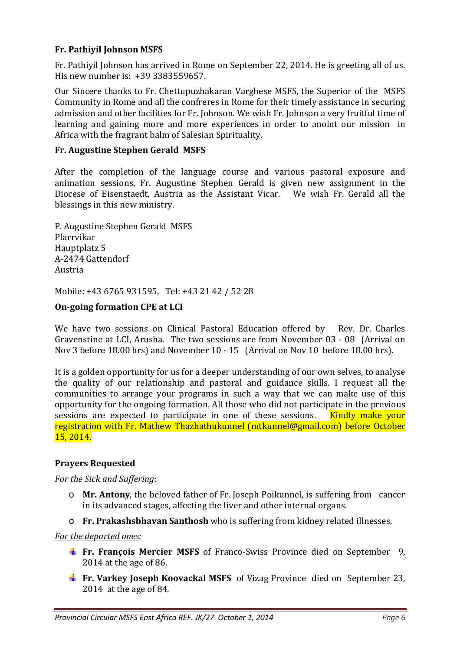#### **Fr. Pathiyil Johnson MSFS**

Fr. Pathiyil Johnson has arrived in Rome on September 22, 2014. He is greeting all of us. His new number is: +39 3383559657.

Our Sincere thanks to Fr. Chettupuzhakaran Varghese MSFS, the Superior of the MSFS Community in Rome and all the confreres in Rome for their timely assistance in securing admission and other facilities for Fr. Johnson. We wish Fr. Johnson a very fruitful time of learning and gaining more and more experiences in order to anoint our mission in Africa with the fragrant balm of Salesian Spirituality.

#### **Fr. Augustine Stephen Gerald MSFS**

After the completion of the language course and various pastoral exposure and animation sessions, Fr. Augustine Stephen Gerald is given new assignment in the Diocese of Eisenstaedt, Austria as the Assistant Vicar. We wish Fr. Gerald all the blessings in this new ministry.

P. Augustine Stephen Gerald MSFS Pfarrvikar Hauptplatz 5 A-2474 Gattendorf Austria

Mobile: +43 6765 931595, Tel: +43 21 42 / 52 28

#### **On-going formation CPE at LCI**

We have two sessions on Clinical Pastoral Education offered by Rev. Dr. Charles Gravenstine at LCI, Arusha. The two sessions are from November 03 - 08 (Arrival on Nov 3 before 18.00 hrs) and November 10 - 15 (Arrival on Nov 10 before 18.00 hrs).

It is a golden opportunity for us for a deeper understanding of our own selves, to analyse the quality of our relationship and pastoral and guidance skills. I request all the communities to arrange your programs in such a way that we can make use of this opportunity for the ongoing formation. All those who did not participate in the previous sessions are expected to participate in one of these sessions. Kindly make your registration with Fr. Mathew Thazhathukunnel (mtkunnel@gmail.com) before October 15, 2014.

#### **Prayers Requested**

#### *For the Sick and Suffering*:

- o **Mr. Antony**, the beloved father of Fr. Joseph Poikunnel, is suffering from cancer in its advanced stages, affecting the liver and other internal organs.
- o **Fr. Prakashsbhavan Santhosh** who is suffering from kidney related illnesses.

#### *For the departed ones:*

- **Fr. François Mercier MSFS** of Franco-Swiss Province died on September 9, 2014 at the age of 86.
- **Fr. Varkey Joseph Koovackal MSFS** of Vizag Province died on September 23, 2014 at the age of 84.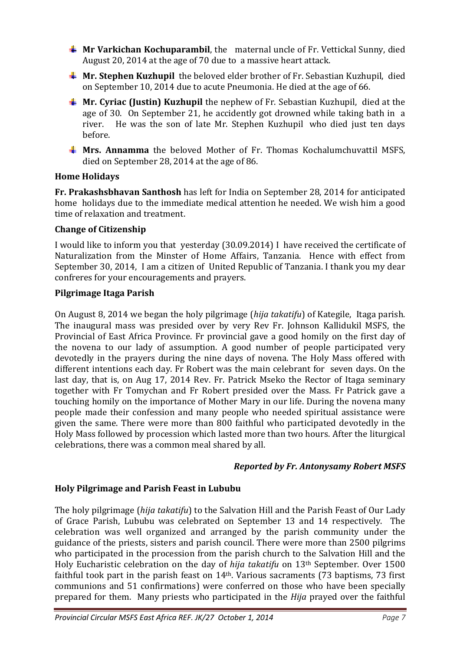- **Mr Varkichan Kochuparambil**, the maternal uncle of Fr. Vettickal Sunny, died August 20, 2014 at the age of 70 due to a massive heart attack.
- **Mr. Stephen Kuzhupil** the beloved elder brother of Fr. Sebastian Kuzhupil, died on September 10, 2014 due to acute Pneumonia. He died at the age of 66.
- **Mr. Cyriac (Justin) Kuzhupil** the nephew of Fr. Sebastian Kuzhupil, died at the age of 30. On September 21, he accidently got drowned while taking bath in a river. He was the son of late Mr. Stephen Kuzhupil who died just ten days before.
- **Mrs. Annamma** the beloved Mother of Fr. Thomas Kochalumchuvattil MSFS, died on September 28, 2014 at the age of 86.

#### **Home Holidays**

**Fr. Prakashsbhavan Santhosh** has left for India on September 28, 2014 for anticipated home holidays due to the immediate medical attention he needed. We wish him a good time of relaxation and treatment.

#### **Change of Citizenship**

I would like to inform you that yesterday (30.09.2014) I have received the certificate of Naturalization from the Minster of Home Affairs, Tanzania. Hence with effect from September 30, 2014, I am a citizen of United Republic of Tanzania. I thank you my dear confreres for your encouragements and prayers.

#### **Pilgrimage Itaga Parish**

On August 8, 2014 we began the holy pilgrimage (*hija takatifu*) of Kategile, Itaga parish. The inaugural mass was presided over by very Rev Fr. Johnson Kallidukil MSFS, the Provincial of East Africa Province. Fr provincial gave a good homily on the first day of the novena to our lady of assumption. A good number of people participated very devotedly in the prayers during the nine days of novena. The Holy Mass offered with different intentions each day. Fr Robert was the main celebrant for seven days. On the last day, that is, on Aug 17, 2014 Rev. Fr. Patrick Mseko the Rector of Itaga seminary together with Fr Tomychan and Fr Robert presided over the Mass. Fr Patrick gave a touching homily on the importance of Mother Mary in our life. During the novena many people made their confession and many people who needed spiritual assistance were given the same. There were more than 800 faithful who participated devotedly in the Holy Mass followed by procession which lasted more than two hours. After the liturgical celebrations, there was a common meal shared by all.

#### *Reported by Fr. Antonysamy Robert MSFS*

#### **Holy Pilgrimage and Parish Feast in Lububu**

The holy pilgrimage (*hija takatifu*) to the Salvation Hill and the Parish Feast of Our Lady of Grace Parish, Lububu was celebrated on September 13 and 14 respectively. The celebration was well organized and arranged by the parish community under the guidance of the priests, sisters and parish council. There were more than 2500 pilgrims who participated in the procession from the parish church to the Salvation Hill and the Holy Eucharistic celebration on the day of *hija takatifu* on 13th September. Over 1500 faithful took part in the parish feast on 14th. Various sacraments (73 baptisms, 73 first communions and 51 confirmations) were conferred on those who have been specially prepared for them. Many priests who participated in the *Hija* prayed over the faithful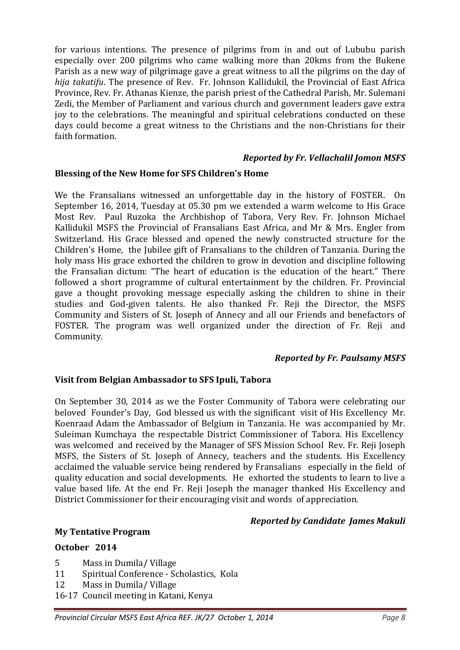for various intentions. The presence of pilgrims from in and out of Lububu parish especially over 200 pilgrims who came walking more than 20kms from the Bukene Parish as a new way of pilgrimage gave a great witness to all the pilgrims on the day of *hija takatifu*. The presence of Rev. Fr. Johnson Kallidukil, the Provincial of East Africa Province, Rev. Fr. Athanas Kienze, the parish priest of the Cathedral Parish, Mr. Sulemani Zedi, the Member of Parliament and various church and government leaders gave extra joy to the celebrations. The meaningful and spiritual celebrations conducted on these days could become a great witness to the Christians and the non-Christians for their faith formation.

#### *Reported by Fr. Vellachalil Jomon MSFS*

#### **Blessing of the New Home for SFS Children's Home**

We the Fransalians witnessed an unforgettable day in the history of FOSTER. On September 16, 2014, Tuesday at 05.30 pm we extended a warm welcome to His Grace Most Rev. Paul Ruzoka the Archbishop of Tabora, Very Rev. Fr. Johnson Michael Kallidukil MSFS the Provincial of Fransalians East Africa, and Mr & Mrs. Engler from Switzerland. His Grace blessed and opened the newly constructed structure for the Children's Home, the Jubilee gift of Fransalians to the children of Tanzania. During the holy mass His grace exhorted the children to grow in devotion and discipline following the Fransalian dictum: "The heart of education is the education of the heart." There followed a short programme of cultural entertainment by the children. Fr. Provincial gave a thought provoking message especially asking the children to shine in their studies and God-given talents. He also thanked Fr. Reji the Director, the MSFS Community and Sisters of St. Joseph of Annecy and all our Friends and benefactors of FOSTER. The program was well organized under the direction of Fr. Reji and Community.

#### *Reported by Fr. Paulsamy MSFS*

#### **Visit from Belgian Ambassador to SFS Ipuli, Tabora**

On September 30, 2014 as we the Foster Community of Tabora were celebrating our beloved Founder's Day, God blessed us with the significant visit of His Excellency Mr. Koenraad Adam the Ambassador of Belgium in Tanzania. He was accompanied by Mr. Suleiman Kumchaya the respectable District Commissioner of Tabora. His Excellency was welcomed and received by the Manager of SFS Mission School Rev. Fr. Reji Joseph MSFS, the Sisters of St. Joseph of Annecy, teachers and the students. His Excellency acclaimed the valuable service being rendered by Fransalians especially in the field of quality education and social developments. He exhorted the students to learn to live a value based life. At the end Fr. Reji Joseph the manager thanked His Excellency and District Commissioner for their encouraging visit and words of appreciation.

#### *Reported by Candidate James Makuli*

#### **My Tentative Program**

#### **October 2014**

- 5 Mass in Dumila/ Village
- 11 Spiritual Conference Scholastics, Kola
- 12 Mass in Dumila/ Village
- 16-17 Council meeting in Katani, Kenya